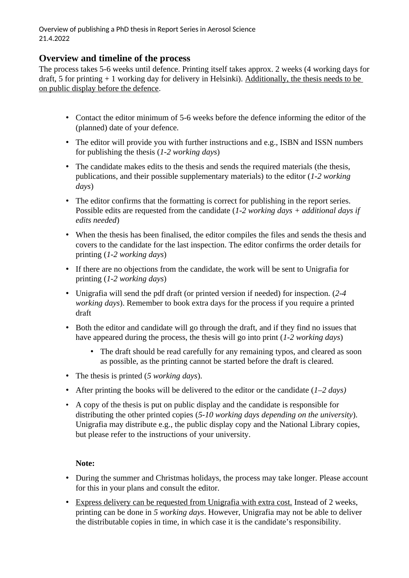Overview of publishing a PhD thesis in Report Series in Aerosol Science 21.4.2022

### **Overview and timeline of the process**

The process takes 5-6 weeks until defence. Printing itself takes approx. 2 weeks (4 working days for draft, 5 for printing + 1 working day for delivery in Helsinki). Additionally, the thesis needs to be on public display before the defence.

- Contact the editor minimum of 5-6 weeks before the defence informing the editor of the (planned) date of your defence.
- The editor will provide you with further instructions and e.g., ISBN and ISSN numbers for publishing the thesis (*1-2 working days*)
- The candidate makes edits to the thesis and sends the required materials (the thesis, publications, and their possible supplementary materials) to the editor (*1-2 working days*)
- The editor confirms that the formatting is correct for publishing in the report series. Possible edits are requested from the candidate (*1-2 working days + additional days if edits needed*)
- When the thesis has been finalised, the editor compiles the files and sends the thesis and covers to the candidate for the last inspection. The editor confirms the order details for printing (*1-2 working days*)
- If there are no objections from the candidate, the work will be sent to Unigrafia for printing (*1-2 working days*)
- Unigrafia will send the pdf draft (or printed version if needed) for inspection. (*2-4 working days*). Remember to book extra days for the process if you require a printed draft
- Both the editor and candidate will go through the draft, and if they find no issues that have appeared during the process, the thesis will go into print (*1-2 working days*)
	- The draft should be read carefully for any remaining typos, and cleared as soon as possible, as the printing cannot be started before the draft is cleared.
- The thesis is printed (*5 working days*).
- After printing the books will be delivered to the editor or the candidate (*1–2 days)*
- A copy of the thesis is put on public display and the candidate is responsible for distributing the other printed copies (*5-10 working days depending on the university*). Unigrafia may distribute e.g., the public display copy and the National Library copies, but please refer to the instructions of your university.

#### **Note:**

- During the summer and Christmas holidays, the process may take longer. Please account for this in your plans and consult the editor.
- Express delivery can be requested from Unigrafia with extra cost. Instead of 2 weeks, printing can be done in *5 working days*. However, Unigrafia may not be able to deliver the distributable copies in time, in which case it is the candidate's responsibility.